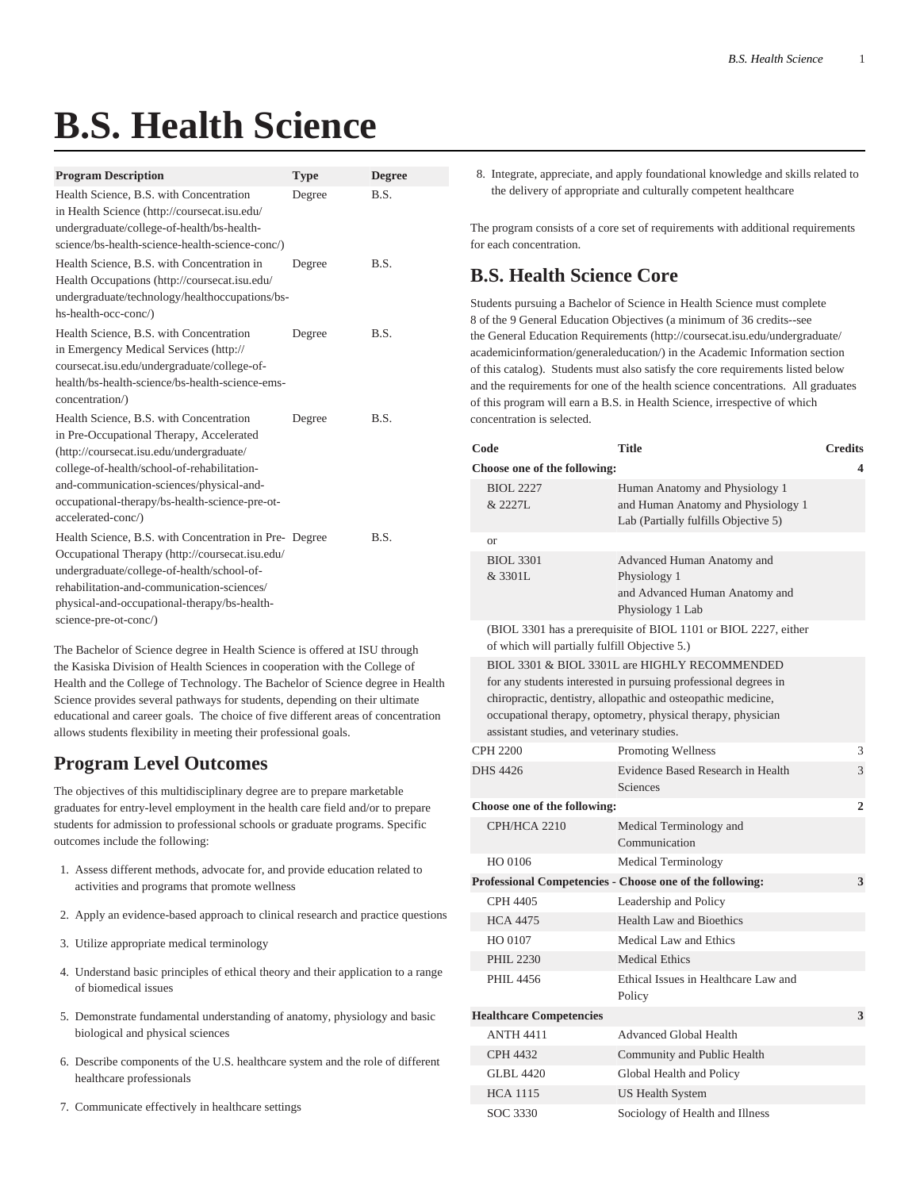## **B.S. Health Science**

| <b>Program Description</b>                                                                                                                                                                                                                                                                         | <b>Type</b> | <b>Degree</b> |
|----------------------------------------------------------------------------------------------------------------------------------------------------------------------------------------------------------------------------------------------------------------------------------------------------|-------------|---------------|
| Health Science, B.S. with Concentration<br>in Health Science (http://coursecat.isu.edu/<br>undergraduate/college-of-health/bs-health-<br>science/bs-health-science-health-science-conc/)                                                                                                           | Degree      | B.S.          |
| Health Science, B.S. with Concentration in<br>Health Occupations (http://coursecat.isu.edu/<br>undergraduate/technology/healthoccupations/bs-<br>hs-health-occ-conc/)                                                                                                                              | Degree      | B.S.          |
| Health Science, B.S. with Concentration<br>in Emergency Medical Services (http://<br>coursecat.isu.edu/undergraduate/college-of-<br>health/bs-health-science/bs-health-science-ems-<br>concentration/)                                                                                             | Degree      | B.S.          |
| Health Science, B.S. with Concentration<br>in Pre-Occupational Therapy, Accelerated<br>(http://coursecat.isu.edu/undergraduate/<br>college-of-health/school-of-rehabilitation-<br>and-communication-sciences/physical-and-<br>occupational-therapy/bs-health-science-pre-ot-<br>accelerated-conc/) | Degree      | B.S.          |
| Health Science, B.S. with Concentration in Pre-Degree<br>Occupational Therapy (http://coursecat.isu.edu/<br>undergraduate/college-of-health/school-of-<br>rehabilitation-and-communication-sciences/<br>physical-and-occupational-therapy/bs-health-<br>science-pre-ot-conc/)                      |             | B.S.          |

The Bachelor of Science degree in Health Science is offered at ISU through the Kasiska Division of Health Sciences in cooperation with the College of Health and the College of Technology. The Bachelor of Science degree in Health Science provides several pathways for students, depending on their ultimate educational and career goals. The choice of five different areas of concentration allows students flexibility in meeting their professional goals.

## **Program Level Outcomes**

The objectives of this multidisciplinary degree are to prepare marketable graduates for entry-level employment in the health care field and/or to prepare students for admission to professional schools or graduate programs. Specific outcomes include the following:

- 1. Assess different methods, advocate for, and provide education related to activities and programs that promote wellness
- 2. Apply an evidence-based approach to clinical research and practice questions
- 3. Utilize appropriate medical terminology
- 4. Understand basic principles of ethical theory and their application to a range of biomedical issues
- 5. Demonstrate fundamental understanding of anatomy, physiology and basic biological and physical sciences
- 6. Describe components of the U.S. healthcare system and the role of different healthcare professionals
- 7. Communicate effectively in healthcare settings

8. Integrate, appreciate, and apply foundational knowledge and skills related to the delivery of appropriate and culturally competent healthcare

The program consists of a core set of requirements with additional requirements for each concentration.

## **B.S. Health Science Core**

Students pursuing a Bachelor of Science in Health Science must complete 8 of the 9 General Education Objectives (a minimum of 36 credits--see the [General Education Requirements](http://coursecat.isu.edu/undergraduate/academicinformation/generaleducation/) ([http://coursecat.isu.edu/undergraduate/](http://coursecat.isu.edu/undergraduate/academicinformation/generaleducation/) [academicinformation/generaleducation/](http://coursecat.isu.edu/undergraduate/academicinformation/generaleducation/)) in the Academic Information section of this catalog). Students must also satisfy the core requirements listed below and the requirements for one of the health science concentrations. All graduates of this program will earn a B.S. in Health Science, irrespective of which concentration is selected.

|                                                                                                                                                                                                                                                                                                 | Code                                                                                                             | <b>Title</b>                                                                                                 | <b>Credits</b> |  |  |
|-------------------------------------------------------------------------------------------------------------------------------------------------------------------------------------------------------------------------------------------------------------------------------------------------|------------------------------------------------------------------------------------------------------------------|--------------------------------------------------------------------------------------------------------------|----------------|--|--|
|                                                                                                                                                                                                                                                                                                 | Choose one of the following:<br>4                                                                                |                                                                                                              |                |  |  |
|                                                                                                                                                                                                                                                                                                 | <b>BIOL 2227</b><br>& 2227L                                                                                      | Human Anatomy and Physiology 1<br>and Human Anatomy and Physiology 1<br>Lab (Partially fulfills Objective 5) |                |  |  |
|                                                                                                                                                                                                                                                                                                 | <b>or</b>                                                                                                        |                                                                                                              |                |  |  |
|                                                                                                                                                                                                                                                                                                 | <b>BIOL 3301</b><br>& 3301L                                                                                      | Advanced Human Anatomy and<br>Physiology 1<br>and Advanced Human Anatomy and<br>Physiology 1 Lab             |                |  |  |
|                                                                                                                                                                                                                                                                                                 | (BIOL 3301 has a prerequisite of BIOL 1101 or BIOL 2227, either<br>of which will partially fulfill Objective 5.) |                                                                                                              |                |  |  |
| BIOL 3301 & BIOL 3301L are HIGHLY RECOMMENDED<br>for any students interested in pursuing professional degrees in<br>chiropractic, dentistry, allopathic and osteopathic medicine,<br>occupational therapy, optometry, physical therapy, physician<br>assistant studies, and veterinary studies. |                                                                                                                  |                                                                                                              |                |  |  |
|                                                                                                                                                                                                                                                                                                 | <b>CPH 2200</b>                                                                                                  | <b>Promoting Wellness</b>                                                                                    | 3              |  |  |
|                                                                                                                                                                                                                                                                                                 | <b>DHS</b> 4426                                                                                                  | Evidence Based Research in Health<br>Sciences                                                                | 3              |  |  |
|                                                                                                                                                                                                                                                                                                 | Choose one of the following:                                                                                     |                                                                                                              | $\overline{2}$ |  |  |
|                                                                                                                                                                                                                                                                                                 | CPH/HCA 2210                                                                                                     | Medical Terminology and<br>Communication                                                                     |                |  |  |
|                                                                                                                                                                                                                                                                                                 | HO 0106                                                                                                          | <b>Medical Terminology</b>                                                                                   |                |  |  |
| Professional Competencies - Choose one of the following:                                                                                                                                                                                                                                        |                                                                                                                  | 3                                                                                                            |                |  |  |
|                                                                                                                                                                                                                                                                                                 | <b>CPH 4405</b>                                                                                                  | Leadership and Policy                                                                                        |                |  |  |
|                                                                                                                                                                                                                                                                                                 | <b>HCA 4475</b>                                                                                                  | <b>Health Law and Bioethics</b>                                                                              |                |  |  |
|                                                                                                                                                                                                                                                                                                 | HO 0107                                                                                                          | Medical Law and Ethics                                                                                       |                |  |  |
|                                                                                                                                                                                                                                                                                                 | <b>PHIL 2230</b>                                                                                                 | <b>Medical Ethics</b>                                                                                        |                |  |  |
|                                                                                                                                                                                                                                                                                                 | PHIL 4456                                                                                                        | Ethical Issues in Healthcare Law and<br>Policy                                                               |                |  |  |
| <b>Healthcare Competencies</b>                                                                                                                                                                                                                                                                  |                                                                                                                  |                                                                                                              | 3              |  |  |
|                                                                                                                                                                                                                                                                                                 | <b>ANTH 4411</b>                                                                                                 | Advanced Global Health                                                                                       |                |  |  |
|                                                                                                                                                                                                                                                                                                 | <b>CPH 4432</b>                                                                                                  | Community and Public Health                                                                                  |                |  |  |
|                                                                                                                                                                                                                                                                                                 | GLBL 4420                                                                                                        | Global Health and Policy                                                                                     |                |  |  |
|                                                                                                                                                                                                                                                                                                 | <b>HCA 1115</b>                                                                                                  | US Health System                                                                                             |                |  |  |
|                                                                                                                                                                                                                                                                                                 | SOC 3330                                                                                                         | Sociology of Health and Illness                                                                              |                |  |  |